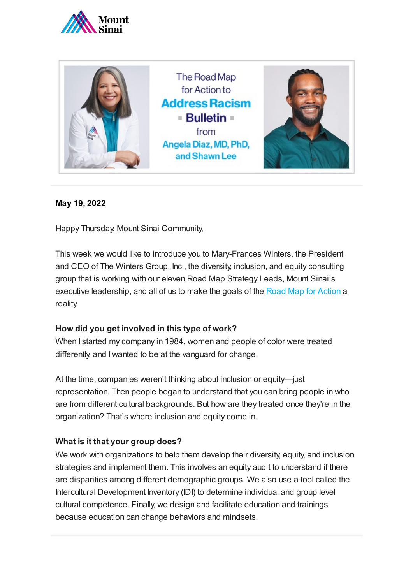



## **May 19, 2022**

Happy Thursday, Mount Sinai Community,

This week we would like to introduce you to Mary-Frances Winters, the President and CEO of The Winters Group, Inc., the diversity, inclusion, and equity consulting group that is working with our eleven Road Map Strategy Leads, Mount Sinai's executive leadership, and all of us to make the goals of the [Road Map for Action](https://www.mountsinai.org/about/addressing-racism/road-map) a reality.

### **How did you get involved in this type of work?**

When I started my company in 1984, women and people of color were treated differently, and I wanted to be at the vanguard for change.

At the time, companies weren't thinking about inclusion or equity—just representation. Then people began to understand that you can bring people in who are from different cultural backgrounds. But how are they treated once they're in the organization? That's where inclusion and equity come in.

### **What is it that your group does?**

We work with organizations to help them develop their diversity, equity, and inclusion strategies and implement them. This involves an equity audit to understand if there are disparities among different demographic groups. We also use a tool called the Intercultural Development Inventory (IDI) to determine individual and group level cultural competence. Finally, we design and facilitate education and trainings because education can change behaviors and mindsets.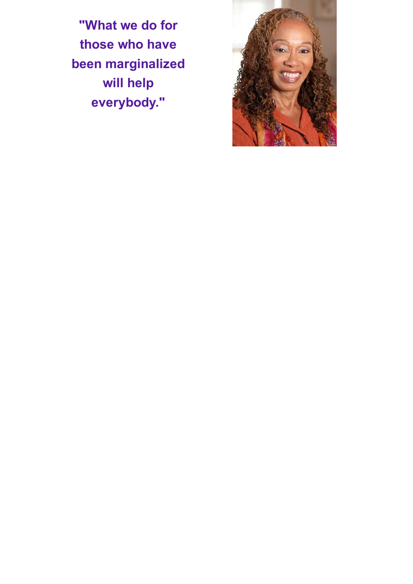**"What we do for those who have been marginalized will help everybody."**

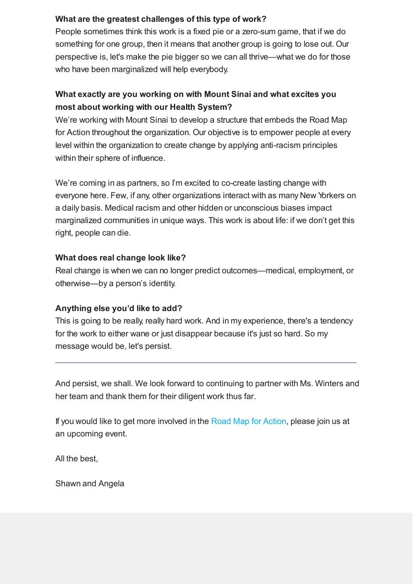## **What are the greatest challenges of this type of work?**

People sometimes think this work is a fixed pie or a zero-sum game, that if we do something for one group, then it means that another group is going to lose out. Our perspective is, let's make the pie bigger so we can all thrive—what we do for those who have been marginalized will help everybody.

# **What exactly are you working on with Mount Sinai and what excites you most about working with our Health System?**

We're working with Mount Sinai to develop a structure that embeds the Road Map for Action throughout the organization. Our objective is to empower people at every level within the organization to create change by applying anti-racism principles within their sphere of influence.

We're coming in as partners, so I'm excited to co-create lasting change with everyone here. Few, if any, other organizations interact with as many New Yorkers on a daily basis. Medical racism and other hidden or unconscious biases impact marginalized communities in unique ways. This work is about life: if we don't get this right, people can die.

### **What does real change look like?**

Real change is when we can no longer predict outcomes—medical, employment, or otherwise—by a person's identity.

### **Anything else you'd like to add?**

This is going to be really, really hard work. And in my experience, there's a tendency for the work to either wane or just disappear because it's just so hard. So my message would be, let's persist.

And persist, we shall. We look forward to continuing to partner with Ms. Winters and her team and thank them for their diligent work thus far.

 $\mathcal{L}_\text{max}$  and the contribution of the contribution of the contribution of the contribution of the contribution of the contribution of the contribution of the contribution of the contribution of the contribution of the

If you would like to get more involved in the [Road Map for Action,](https://www.mountsinai.org/about/addressing-racism/road-map) please join us at an upcoming event.

All the best,

Shawn and Angela